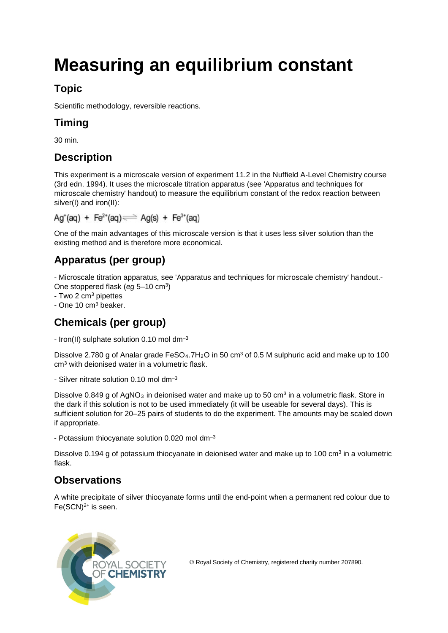# **Measuring an equilibrium constant**

## **Topic**

Scientific methodology, reversible reactions.

## **Timing**

30 min.

### **Description**

This experiment is a microscale version of experiment 11.2 in the Nuffield A-Level Chemistry course (3rd edn. 1994). It uses the microscale titration apparatus (see 'Apparatus and techniques for microscale chemistry' handout) to measure the equilibrium constant of the redox reaction between silver(I) and iron(II):

 $Ag<sup>+</sup>(aq) + Fe<sup>2+</sup>(aq) \rightleftharpoons Ag(s) + Fe<sup>3+</sup>(aq)$ 

One of the main advantages of this microscale version is that it uses less silver solution than the existing method and is therefore more economical.

## **Apparatus (per group)**

- Microscale titration apparatus, see 'Apparatus and techniques for microscale chemistry' handout.- One stoppered flask (*eg* 5–10 cm3)

- Two 2 cm3 pipettes

- One 10 cm3 beaker.

## **Chemicals (per group)**

- Iron(II) sulphate solution  $0.10$  mol dm<sup>-3</sup>

Dissolve 2.780 g of Analar grade FeSO<sub>4</sub>.7H<sub>2</sub>O in 50 cm<sup>3</sup> of 0.5 M sulphuric acid and make up to 100 cm3 with deionised water in a volumetric flask.

- Silver nitrate solution 0.10 mol dm–3

Dissolve 0.849 g of AgNO<sub>3</sub> in deionised water and make up to 50 cm<sup>3</sup> in a volumetric flask. Store in the dark if this solution is not to be used immediately (it will be useable for several days). This is sufficient solution for 20–25 pairs of students to do the experiment. The amounts may be scaled down if appropriate.

- Potassium thiocyanate solution  $0.020$  mol dm<sup>-3</sup>

Dissolve 0.194 g of potassium thiocyanate in deionised water and make up to 100 cm<sup>3</sup> in a volumetric flask.

#### **Observations**

A white precipitate of silver thiocyanate forms until the end-point when a permanent red colour due to Fe(SCN)2+ is seen.



© Royal Society of Chemistry, registered charity number 207890.